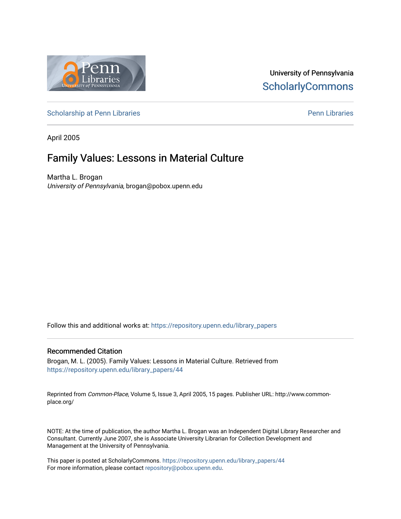

# University of Pennsylvania **ScholarlyCommons**

[Scholarship at Penn Libraries](https://repository.upenn.edu/library_papers) **Pennists** Scholarship at [Penn Libraries](https://repository.upenn.edu/library) **Pennists** Pennists Pennists Pennists Pennists

April 2005

# Family Values: Lessons in Material Culture

Martha L. Brogan University of Pennsylvania, brogan@pobox.upenn.edu

Follow this and additional works at: [https://repository.upenn.edu/library\\_papers](https://repository.upenn.edu/library_papers?utm_source=repository.upenn.edu%2Flibrary_papers%2F44&utm_medium=PDF&utm_campaign=PDFCoverPages) 

### Recommended Citation

Brogan, M. L. (2005). Family Values: Lessons in Material Culture. Retrieved from [https://repository.upenn.edu/library\\_papers/44](https://repository.upenn.edu/library_papers/44?utm_source=repository.upenn.edu%2Flibrary_papers%2F44&utm_medium=PDF&utm_campaign=PDFCoverPages)

Reprinted from Common-Place, Volume 5, Issue 3, April 2005, 15 pages. Publisher URL: http://www.commonplace.org/

NOTE: At the time of publication, the author Martha L. Brogan was an Independent Digital Library Researcher and Consultant. Currently June 2007, she is Associate University Librarian for Collection Development and Management at the University of Pennsylvania.

This paper is posted at ScholarlyCommons. [https://repository.upenn.edu/library\\_papers/44](https://repository.upenn.edu/library_papers/44)  For more information, please contact [repository@pobox.upenn.edu.](mailto:repository@pobox.upenn.edu)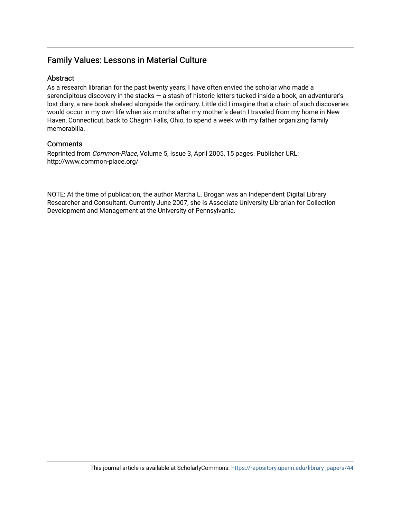# Family Values: Lessons in Material Culture

# **Abstract**

As a research librarian for the past twenty years, I have often envied the scholar who made a serendipitous discovery in the stacks – a stash of historic letters tucked inside a book, an adventurer's lost diary, a rare book shelved alongside the ordinary. Little did I imagine that a chain of such discoveries would occur in my own life when six months after my mother's death I traveled from my home in New Haven, Connecticut, back to Chagrin Falls, Ohio, to spend a week with my father organizing family memorabilia.

## **Comments**

Reprinted from Common-Place, Volume 5, Issue 3, April 2005, 15 pages. Publisher URL: http://www.common-place.org/

NOTE: At the time of publication, the author Martha L. Brogan was an Independent Digital Library Researcher and Consultant. Currently June 2007, she is Associate University Librarian for Collection Development and Management at the University of Pennsylvania.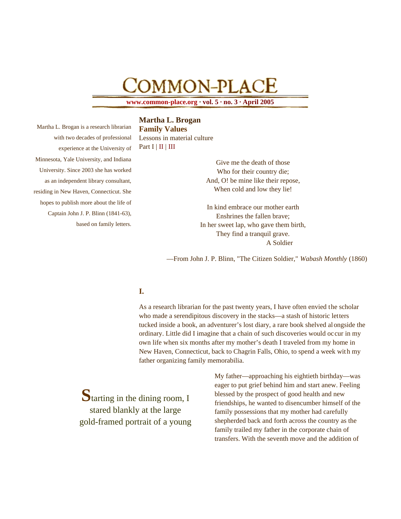# COMMON-PLACE

**www.common-place.org · vol. 5 · no. 3 · April 2005**

# **Martha L. Brogan**

Martha L. Brogan is a research librarian with two decades of professional experience at the University of Minnesota, Yale University, and Indiana University. Since 2003 she has worked as an independent library consultant, residing in New Haven, Connecticut. She hopes to publish more about the life of Captain John J. P. Blinn (1841-63), based on family letters.

**Family Values** Lessons in material culture Part  $I \mid II \mid III$ 

> Give me the death of those Who for their country die; And, O! be mine like their repose, When cold and low they lie!

In kind embrace our mother earth Enshrines the fallen brave; In her sweet lap, who gave them birth, They find a tranquil grave. A Soldier

—From John J. P. Blinn, "The Citizen Soldier," *Wabash Monthly* (1860)

# **I.**

As a research librarian for the past twenty years, I have often envied the scholar who made a serendipitous discovery in the stacks—a stash of historic letters tucked inside a book, an adventurer's lost diary, a rare book shelved alongside the ordinary. Little did I imagine that a chain of such discoveries would occur in my own life when six months after my mother's death I traveled from my home in New Haven, Connecticut, back to Chagrin Falls, Ohio, to spend a week with my father organizing family memorabilia.

**S**tarting in the dining room, I stared blankly at the large gold-framed portrait of a young My father—approaching his eightieth birthday—was eager to put grief behind him and start anew. Feeling blessed by the prospect of good health and new friendships, he wanted to disencumber himself of the family possessions that my mother had carefully shepherded back and forth across the country as the family trailed my father in the corporate chain of transfers. With the seventh move and the addition of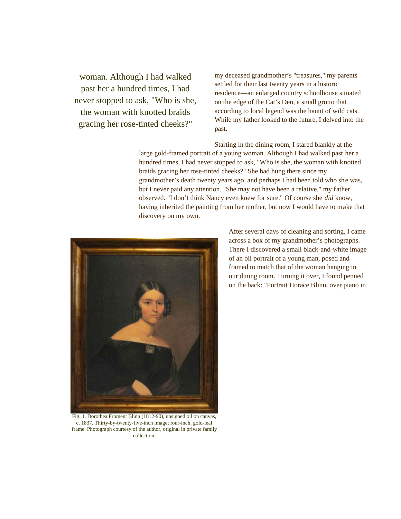woman. Although I had walked past her a hundred times, I had never stopped to ask, "Who is she, the woman with knotted braids gracing her rose-tinted cheeks?"

my deceased grandmother's "treasures," my parents settled for their last twenty years in a historic residence—an enlarged country schoolhouse situated on the edge of the Cat's Den, a small grotto that according to local legend was the haunt of wild cats. While my father looked to the future, I delved into the past.

Starting in the dining room, I stared blankly at the large gold-framed portrait of a young woman. Although I had walked past her a hundred times, I had never stopped to ask, "Who is she, the woman with knotted braids gracing her rose-tinted cheeks?" She had hung there since my grandmother's death twenty years ago, and perhaps I had been told who she was, but I never paid any attention. "She may not have been a relative," my father observed. "I don't think Nancy even knew for sure." Of course she *did* know, having inherited the painting from her mother, but now I would have to make that discovery on my own.



After several days of cleaning and sorting, I came across a box of my grandmother's photographs. There I discovered a small black-and-white image of an oil portrait of a young man, posed and framed to match that of the woman hanging in our dining room. Turning it over, I found penned on the back: "Portrait Horace Blinn, over piano in

Fig. 1. Dorothea Froment Blinn (1812-90), unsigned oil on canvas, c. 1837. Thirty-by-twenty-five-inch image; four-inch, gold-leaf frame. Photograph courtesy of the author, original in private family collection.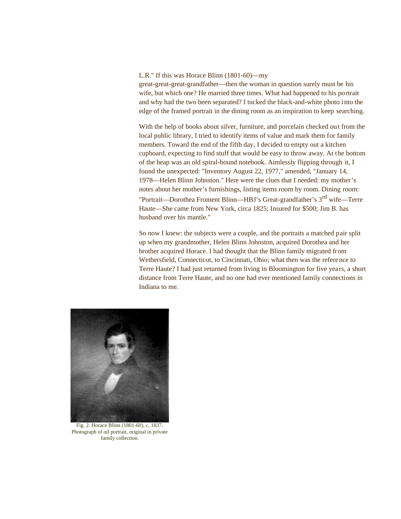#### L.R." If this was Horace Blinn (1801-60)—my

great-great-great-grandfather—then the woman in question surely must be his wife, but which one? He married three times. What had happened to his portrait and why had the two been separated? I tucked the black-and-white photo i nto the edge of the framed portrait in the dining room as an inspiration to keep searching.

With the help of books about silver, furniture, and porcelain checked out from the local public library, I tried to identify items of value and mark them for family members. Toward the end of the fifth day, I decided to empty out a kitchen cupboard, expecting to find stuff that would be easy to throw away. At the bottom of the heap was an old spiral-bound notebook. Aimlessly flipping through it, I found the unexpected: "Inventory August 22, 1977," amended, "January 14, 1978—Helen Blinn Johnston." Here were the clues that I needed: my mother's notes about her mother's furnishings, listing items room by room. Dining room: "Portrait—Dorothea Froment Blinn—HBJ's Great-grandfather's 3rd wife—Terre Haute—She came from New York, circa 1825; Insured for \$500; Jim B. has husband over his mantle."

So now I knew: the subjects were a couple, and the portraits a matched pair split up when my grandmother, Helen Blinn Johnston, acquired Dorothea and her brother acquired Horace. I had thought that the Blinn family migrated from Wethersfield, Connecticut, to Cincinnati, Ohio; what then was the reference to Terre Haute? I had just returned from living in Bloomington for five years, a short distance from Terre Haute, and no one had ever mentioned family connections in Indiana to me.



Fig. 2. Horace Blinn (1801-60), c. 1837. Photograph of oil portrait, original in private family collection.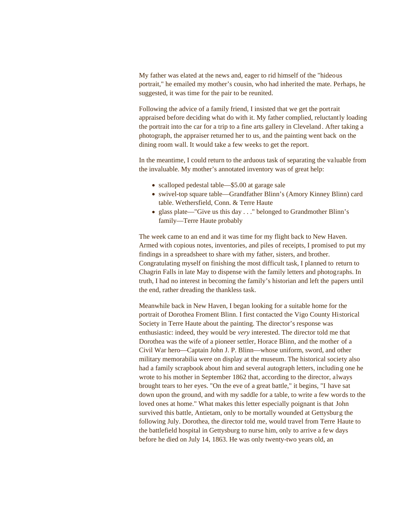My father was elated at the news and, eager to rid himself of the "hideous portrait," he emailed my mother's cousin, who had inherited the mate. Perhaps, he suggested, it was time for the pair to be reunited.

Following the advice of a family friend, I insisted that we get the portrait appraised before deciding what do with it. My father complied, reluctantly loading the portrait into the car for a trip to a fine arts gallery in Cleveland. After taking a photograph, the appraiser returned her to us, and the painting went back on the dining room wall. It would take a few weeks to get the report.

In the meantime, I could return to the arduous task of separating the valuable from the invaluable. My mother's annotated inventory was of great help:

- scalloped pedestal table—\$5.00 at garage sale
- swivel-top square table—Grandfather Blinn's (Amory Kinney Blinn) card table. Wethersfield, Conn. & Terre Haute
- glass plate—"Give us this day . . ." belonged to Grandmother Blinn's family—Terre Haute probably

The week came to an end and it was time for my flight back to New Haven. Armed with copious notes, inventories, and piles of receipts, I promised to put my findings in a spreadsheet to share with my father, sisters, and brother. Congratulating myself on finishing the most difficult task, I planned to return to Chagrin Falls in late May to dispense with the family letters and photographs. In truth, I had no interest in becoming the family's historian and left the papers until the end, rather dreading the thankless task.

Meanwhile back in New Haven, I began looking for a suitable home for the portrait of Dorothea Froment Blinn. I first contacted the Vigo County Historical Society in Terre Haute about the painting. The director's response was enthusiastic: indeed, they would be *very* interested. The director told me that Dorothea was the wife of a pioneer settler, Horace Blinn, and the mother of a Civil War hero—Captain John J. P. Blinn—whose uniform, sword, and other military memorabilia were on display at the museum. The historical society also had a family scrapbook about him and several autograph letters, including one he wrote to his mother in September 1862 that, according to the director, always brought tears to her eyes. "On the eve of a great battle," it begins, "I have sat down upon the ground, and with my saddle for a table, to write a few words to the loved ones at home." What makes this letter especially poignant is that John survived this battle, Antietam, only to be mortally wounded at Gettysburg the following July. Dorothea, the director told me, would travel from Terre Haute to the battlefield hospital in Gettysburg to nurse him, only to arrive a few days before he died on July 14, 1863. He was only twenty-two years old, an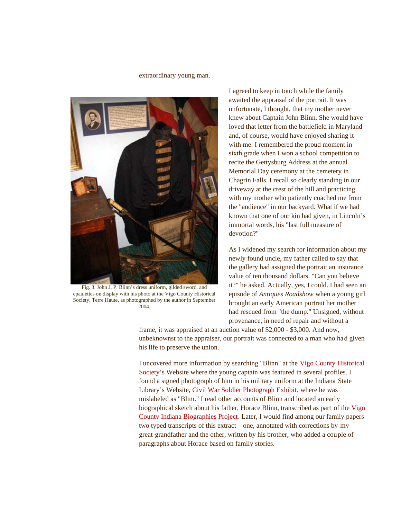#### extraordinary young man.



Fig. 3. John J. P. Blinn's dress uniform, gilded sword, and epaulettes on display with his photo at the Vigo County Historical Society, Terre Haute, as photographed by the author in September 2004.

I agreed to keep in touch while the family awaited the appraisal of the portrait. It was unfortunate, I thought, that my mother never knew about Captain John Blinn. She would have loved that letter from the battlefield in Maryland and, of course, would have enjoyed sharing it with me. I remembered the proud moment in sixth grade when I won a school competition to recite the Gettysburg Address at the annual Memorial Day ceremony at the cemetery in Chagrin Falls. I recall so clearly standing in our driveway at the crest of the hill and practicing with my mother who patiently coached me from the "audience" in our backyard. What if we had known that one of our kin had given, in Lincoln's immortal words, his "last full measure of devotion?"

As I widened my search for information about my newly found uncle, my father called to say that the gallery had assigned the portrait an insurance value of ten thousand dollars. "Can you believe it?" he asked. Actually, yes, I could. I had seen an episode of *Antiques Roadshow* when a young girl brought an early American portrait her mother had rescued from "the dump." Unsigned, without provenance, in need of repair and without a

frame, it was appraised at an auction value of \$2,000 - \$3,000. And now, unbeknownst to the appraiser, our portrait was connected to a man who had given his life to preserve the union.

I uncovered more information by searching "Blinn" at the Vigo County Historical Society's Website where the young captain was featured in several profiles. I found a signed photograph of him in his military uniform at the Indiana State Library's Website, Civil War Soldier Photograph Exhibit, where he was mislabeled as "Blim." I read other accounts of Blinn and located an early biographical sketch about his father, Horace Blinn, transcribed as part of the Vigo County Indiana Biographies Project. Later, I would find among our family papers two typed transcripts of this extract—one, annotated with corrections by my great-grandfather and the other, written by his brother, who added a couple of paragraphs about Horace based on family stories.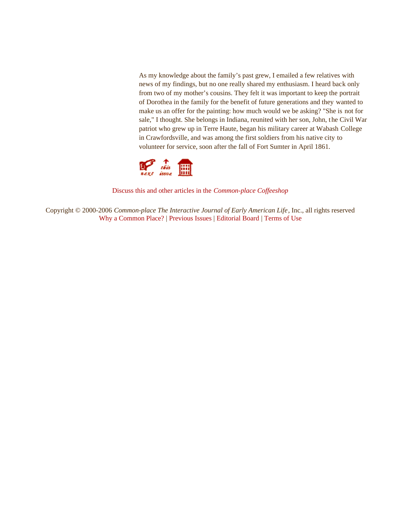As my knowledge about the family's past grew, I emailed a few relatives with news of my findings, but no one really shared my enthusiasm. I heard back only from two of my mother's cousins. They felt it was important to keep the portrait of Dorothea in the family for the benefit of future generations and they wanted to make us an offer for the painting: how much would we be asking? "She is not for sale," I thought. She belongs in Indiana, reunited with her son, John, the Civil War patriot who grew up in Terre Haute, began his military career at Wabash College in Crawfordsville, and was among the first soldiers from his native city to volunteer for service, soon after the fall of Fort Sumter in April 1861.



Discuss this and other articles in the *Common-place Coffeeshop*

Copyright © 2000-2006 *Common-place The Interactive Journal of Early American Life*, Inc., all rights reserved Why a Common Place? | Previous Issues | Editorial Board | Terms of Use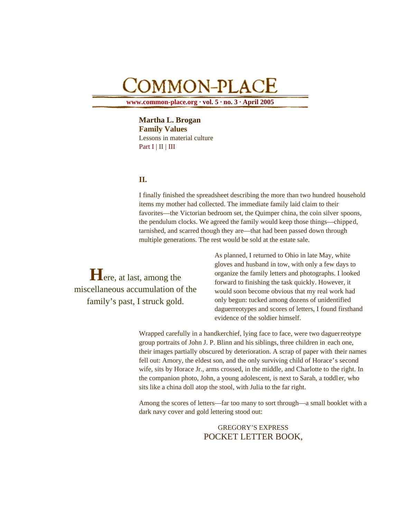# COMMON-PLACE

**www.common-place.org · vol. 5 · no. 3 · April 2005**

**Martha L. Brogan Family Values** Lessons in material culture Part  $I \mid II \mid III$ 

# **II.**

I finally finished the spreadsheet describing the more than two hundred household items my mother had collected. The immediate family laid claim to their favorites—the Victorian bedroom set, the Quimper china, the coin silver spoons, the pendulum clocks. We agreed the family would keep those things—chipped, tarnished, and scarred though they are—that had been passed down through multiple generations. The rest would be sold at the estate sale.

**H**ere, at last, among the miscellaneous accumulation of the family's past, I struck gold.

As planned, I returned to Ohio in late May, white gloves and husband in tow, with only a few days to organize the family letters and photographs. I looked forward to finishing the task quickly. However, it would soon become obvious that my real work had only begun: tucked among dozens of unidentified daguerreotypes and scores of letters, I found firsthand evidence of the soldier himself.

Wrapped carefully in a handkerchief, lying face to face, were two daguerreotype group portraits of John J. P. Blinn and his siblings, three children in each one, their images partially obscured by deterioration. A scrap of paper with their names fell out: Amory, the eldest son, and the only surviving child of Horace's second wife, sits by Horace Jr., arms crossed, in the middle, and Charlotte to the right. In the companion photo, John, a young adolescent, is next to Sarah, a toddler, who sits like a china doll atop the stool, with Julia to the far right.

Among the scores of letters—far too many to sort through—a small booklet with a dark navy cover and gold lettering stood out:

> GREGORY'S EXPRESS POCKET LETTER BOOK,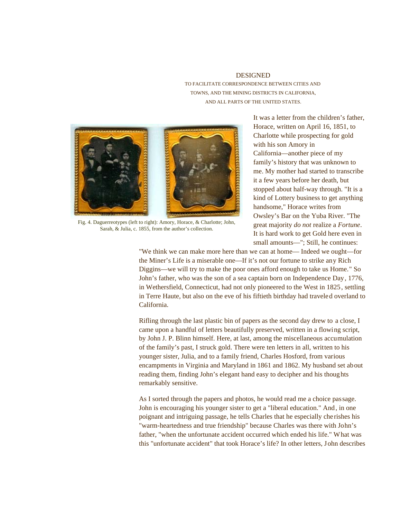### DESIGNED TO FACILITATE CORRESPONDENCE BETWEEN CITIES AND TOWNS, AND THE MINING DISTRICTS IN CALIFORNIA, AND ALL PARTS OF THE UNITED STATES.



Fig. 4. Daguerreotypes (left to right): Amory, Horace, & Charlotte; John, Sarah, & Julia, c. 1855, from the author's collection.

It was a letter from the children's father, Horace, written on April 16, 1851, to Charlotte while prospecting for gold with his son Amory in California—another piece of my family's history that was unknown to me. My mother had started to transcribe it a few years before her death, but stopped about half-way through. "It is a kind of Lottery business to get anything handsome," Horace writes from Owsley's Bar on the Yuba River. "The great majority *do not* realize a *Fortune*. It is hard work to get Gold here even in small amounts—"; Still, he continues:

"We think we can make more here than we can at home— Indeed we ought—for the Miner's Life is a miserable one—If it's not our fortune to strike any Rich Diggins—we will try to make the poor ones afford enough to take us Home." So John's father, who was the son of a sea captain born on Independence Day, 1776, in Wethersfield, Connecticut, had not only pioneered to the West in 1825 , settling in Terre Haute, but also on the eve of his fiftieth birthday had traveled overland to California.

Rifling through the last plastic bin of papers as the second day drew to a close, I came upon a handful of letters beautifully preserved, written in a flowing script, by John J. P. Blinn himself. Here, at last, among the miscellaneous accumulation of the family's past, I struck gold. There were ten letters in all, written to his younger sister, Julia, and to a family friend, Charles Hosford, from various encampments in Virginia and Maryland in 1861 and 1862. My husband set about reading them, finding John's elegant hand easy to decipher and his thoughts remarkably sensitive.

As I sorted through the papers and photos, he would read me a choice passage. John is encouraging his younger sister to get a "liberal education." And, in one poignant and intriguing passage, he tells Charles that he especially cherishes his "warm-heartedness and true friendship" because Charles was there with John's father, "when the unfortunate accident occurred which ended his life." What was this "unfortunate accident" that took Horace's life? In other letters, John describes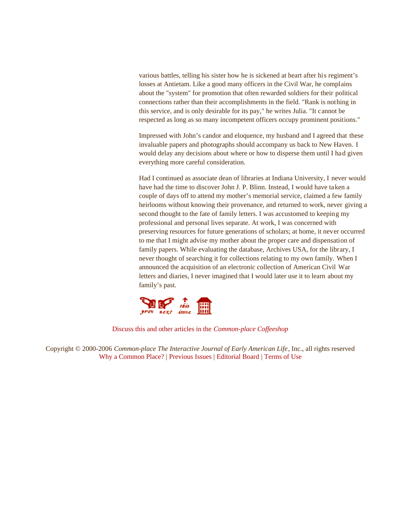various battles, telling his sister how he is sickened at heart after his regiment's losses at Antietam. Like a good many officers in the Civil War, he complains about the "system" for promotion that often rewarded soldiers for their political connections rather than their accomplishments in the field. "Rank is nothing in this service, and is only desirable for its pay," he writes Julia. "It cannot be respected as long as so many incompetent officers occupy prominent positions."

Impressed with John's candor and eloquence, my husband and I agreed that these invaluable papers and photographs should accompany us back to New Haven. I would delay any decisions about where or how to disperse them until I had given everything more careful consideration.

Had I continued as associate dean of libraries at Indiana University, I never would have had the time to discover John J. P. Blinn. Instead, I would have taken a couple of days off to attend my mother's memorial service, claimed a few family heirlooms without knowing their provenance, and returned to work, never giving a second thought to the fate of family letters. I was accustomed to keeping my professional and personal lives separate. At work, I was concerned with preserving resources for future generations of scholars; at home, it never occurred to me that I might advise my mother about the proper care and dispensation of family papers. While evaluating the database, Archives USA, for the library, I never thought of searching it for collections relating to my own family. When I announced the acquisition of an electronic collection of American Civil War letters and diaries, I never imagined that I would later use it to learn about my family's past.



Discuss this and other articles in the *Common-place Coffeeshop*

Copyright © 2000-2006 *Common-place The Interactive Journal of Early American Life*, Inc., all rights reserved Why a Common Place? | Previous Issues | Editorial Board | Terms of Use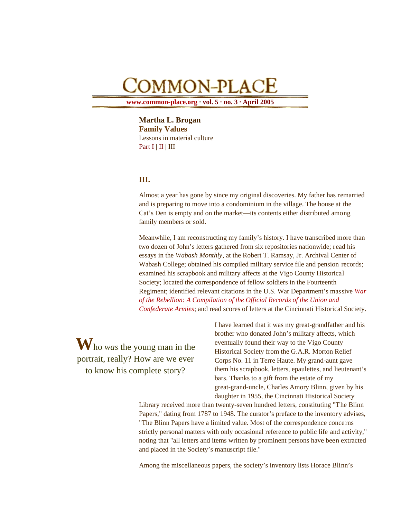# COMMON-PLACE

**www.common-place.org · vol. 5 · no. 3 · April 2005**

**Martha L. Brogan Family Values** Lessons in material culture Part  $I \mid II \mid III$ 

## **III.**

Almost a year has gone by since my original discoveries. My father has remarried and is preparing to move into a condominium in the village. The house at the Cat's Den is empty and on the market—its contents either distributed among family members or sold.

Meanwhile, I am reconstructing my family's history. I have transcribed more than two dozen of John's letters gathered from six repositories nationwide; read his essays in the *Wabash Monthly*, at the Robert T. Ramsay, Jr. Archival Center of Wabash College; obtained his compiled military service file and pension records; examined his scrapbook and military affects at the Vigo County Historical Society; located the correspondence of fellow soldiers in the Fourteenth Regiment; identified relevant citations in the U.S. War Department's massive *War of the Rebellion: A Compilation of the Official Records of the Union and Confederate Armies*; and read scores of letters at the Cincinnati Historical Society.

**W**ho *was* the young man in the portrait, really? How are we ever to know his complete story?

I have learned that it was my great-grandfather and his brother who donated John's military affects, which eventually found their way to the Vigo County Historical Society from the G.A.R. Morton Relief Corps No. 11 in Terre Haute. My grand-aunt gave them his scrapbook, letters, epaulettes, and lieutenant's bars. Thanks to a gift from the estate of my great-grand-uncle, Charles Amory Blinn, given by his daughter in 1955, the Cincinnati Historical Society

Library received more than twenty-seven hundred letters, constituting "The Blinn Papers," dating from 1787 to 1948. The curator's preface to the inventory advises, "The Blinn Papers have a limited value. Most of the correspondence concerns strictly personal matters with only occasional reference to public life and activity," noting that "all letters and items written by prominent persons have been extracted and placed in the Society's manuscript file."

Among the miscellaneous papers, the society's inventory lists Horace Blinn's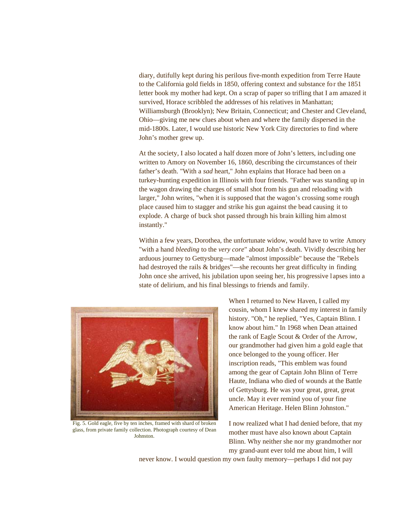diary, dutifully kept during his perilous five-month expedition from Terre Haute to the California gold fields in 1850, offering context and substance for the 1851 letter book my mother had kept. On a scrap of paper so trifling that I am amazed it survived, Horace scribbled the addresses of his relatives in Manhattan; Williamsburgh (Brooklyn); New Britain, Connecticut; and Chester and Cleveland, Ohio—giving me new clues about when and where the family dispersed in the mid-1800s. Later, I would use historic New York City directories to find where John's mother grew up.

At the society, I also located a half dozen more of John's letters, including one written to Amory on November 16, 1860, describing the circumstances of their father's death. "With a *sad* heart," John explains that Horace had been on a turkey-hunting expedition in Illinois with four friends. "Father was standing up in the wagon drawing the charges of small shot from his gun and reloading with larger," John writes, "when it is supposed that the wagon's crossing some rough place caused him to stagger and strike his gun against the bead causing it to explode. A charge of buck shot passed through his brain killing him almost instantly."

Within a few years, Dorothea, the unfortunate widow, would have to write Amory "with a hand *bleeding* to the *very core*" about John's death. Vividly describing her arduous journey to Gettysburg—made "almost impossible" because the "Rebels had destroyed the rails & bridges"—she recounts her great difficulty in finding John once she arrived, his jubilation upon seeing her, his progressive lapses into a state of delirium, and his final blessings to friends and family.



Fig. 5. Gold eagle, five by ten inches, framed with shard of broken glass, from private family collection. Photograph courtesy of Dean Johnston.

When I returned to New Haven, I called my cousin, whom I knew shared my interest in family history. "Oh," he replied, "Yes, Captain Blinn. I know about him." In 1968 when Dean attained the rank of Eagle Scout & Order of the Arrow, our grandmother had given him a gold eagle that once belonged to the young officer. Her inscription reads, "This emblem was found among the gear of Captain John Blinn of Terre Haute, Indiana who died of wounds at the Battle of Gettysburg. He was your great, great, great uncle. May it ever remind you of your fine American Heritage. Helen Blinn Johnston."

I now realized what I had denied before, that my mother must have also known about Captain Blinn. Why neither she nor my grandmother nor my grand-aunt ever told me about him, I will

never know. I would question my own faulty memory—perhaps I did not pay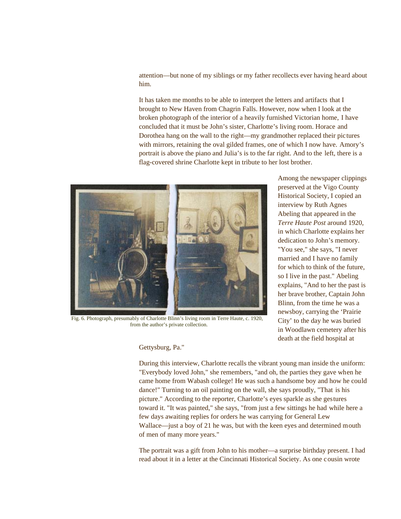attention—but none of my siblings or my father recollects ever having heard about him.

It has taken me months to be able to interpret the letters and artifacts that I brought to New Haven from Chagrin Falls. However, now when I look at the broken photograph of the interior of a heavily furnished Victorian home, I have concluded that it must be John's sister, Charlotte's living room. Horace and Dorothea hang on the wall to the right—my grandmother replaced their pictures with mirrors, retaining the oval gilded frames, one of which I now have. Amory's portrait is above the piano and Julia's is to the far right. And to the left, there is a flag-covered shrine Charlotte kept in tribute to her lost brother.



Fig. 6. Photograph, presumably of Charlotte Blinn's living room in Terre Haute, c. 1920, from the author's private collection.

Among the newspaper clippings preserved at the Vigo County Historical Society, I copied an interview by Ruth Agnes Abeling that appeared in the *Terre Haute Post* around 1920, in which Charlotte explains her dedication to John's memory. "You see," she says, "I never married and I have no family for which to think of the future, so I live in the past." Abeling explains, "And to her the past is her brave brother, Captain John Blinn, from the time he was a newsboy, carrying the 'Prairie City' to the day he was buried in Woodlawn cemetery after his death at the field hospital at

Gettysburg, Pa."

During this interview, Charlotte recalls the vibrant young man inside the uniform: "Everybody loved John," she remembers, "and oh, the parties they gave when he came home from Wabash college! He was such a handsome boy and how he could dance!" Turning to an oil painting on the wall, she says proudly, "That is his picture." According to the reporter, Charlotte's eyes sparkle as she gestures toward it. "It was painted," she says, "from just a few sittings he had while here a few days awaiting replies for orders he was carrying for General Lew Wallace—just a boy of 21 he was, but with the keen eyes and determined mouth of men of many more years."

The portrait was a gift from John to his mother—a surprise birthday present. I had read about it in a letter at the Cincinnati Historical Society. As one cousin wrote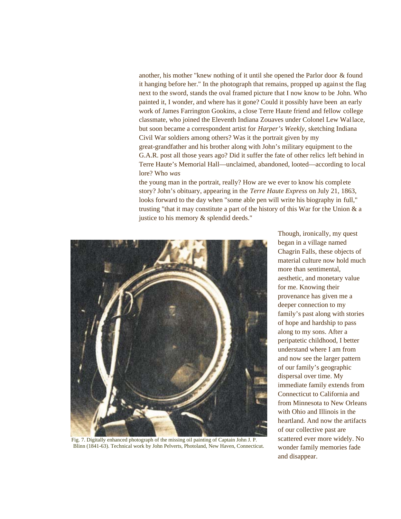another, his mother "knew nothing of it until she opened the Parlor door & found it hanging before her." In the photograph that remains, propped up against the flag next to the sword, stands the oval framed picture that I now know to be John. Who painted it, I wonder, and where has it gone? Could it possibly have been an early work of James Farrington Gookins, a close Terre Haute friend and fellow college classmate, who joined the Eleventh Indiana Zouaves under Colonel Lew Wallace, but soon became a correspondent artist for *Harper's Weekly*, sketching Indiana Civil War soldiers among others? Was it the portrait given by my great-grandfather and his brother along with John's military equipment to the G.A.R. post all those years ago? Did it suffer the fate of other relics left behind in Terre Haute's Memorial Hall—unclaimed, abandoned, looted—according to local lore? Who *was*

the young man in the portrait, really? How are we ever to know his complete story? John's obituary, appearing in the *Terre Haute Express* on July 21, 1863, looks forward to the day when "some able pen will write his biography in full," trusting "that it may constitute a part of the history of this War for the Union & a justice to his memory & splendid deeds."



Fig. 7. Digitally enhanced photograph of the missing oil painting of Captain John J. P. Blinn (1841-63). Technical work by John Pelverts, Photoland, New Haven, Connecticut.

Though, ironically, my quest began in a village named Chagrin Falls, these objects of material culture now hold much more than sentimental, aesthetic, and monetary value for me. Knowing their provenance has given me a deeper connection to my family's past along with stories of hope and hardship to pass along to my sons. After a peripatetic childhood, I better understand where I am from and now see the larger pattern of our family's geographic dispersal over time. My immediate family extends from Connecticut to California and from Minnesota to New Orleans with Ohio and Illinois in the heartland. And now the artifacts of our collective past are scattered ever more widely. No wonder family memories fade and disappear.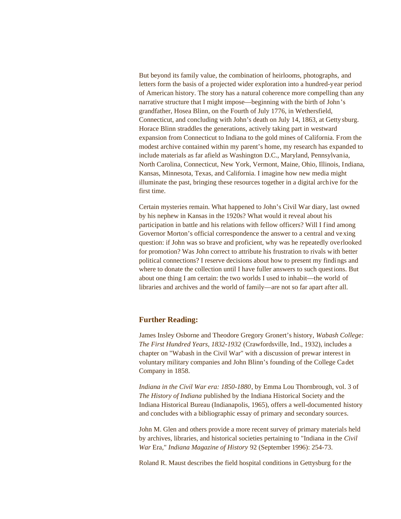But beyond its family value, the combination of heirlooms, photographs, and letters form the basis of a projected wider exploration into a hundred-year period of American history. The story has a natural coherence more compelling than any narrative structure that I might impose—beginning with the birth of John's grandfather, Hosea Blinn, on the Fourth of July 1776, in Wethersfield, Connecticut, and concluding with John's death on July 14, 1863, at Gettysburg. Horace Blinn straddles the generations, actively taking part in westward expansion from Connecticut to Indiana to the gold mines of California. From the modest archive contained within my parent's home, my research has expanded to include materials as far afield as Washington D.C., Maryland, Pennsylvania, North Carolina, Connecticut, New York, Vermont, Maine, Ohio, Illinois, Indiana, Kansas, Minnesota, Texas, and California. I imagine how new media might illuminate the past, bringing these resources together in a digital archive for the first time.

Certain mysteries remain. What happened to John's Civil War diary, last owned by his nephew in Kansas in the 1920s? What would it reveal about his participation in battle and his relations with fellow officers? Will I find among Governor Morton's official correspondence the answer to a central and vexing question: if John was so brave and proficient, why was he repeatedly overlooked for promotion? Was John correct to attribute his frustration to rivals with better political connections? I reserve decisions about how to present my findings and where to donate the collection until I have fuller answers to such questions. But about one thing I am certain: the two worlds I used to inhabit—the world of libraries and archives and the world of family—are not so far apart after all.

#### **Further Reading:**

James Insley Osborne and Theodore Gregory Gronert's history, *Wabash College: The First Hundred Years, 1832-1932* (Crawfordsville, Ind., 1932), includes a chapter on "Wabash in the Civil War" with a discussion of prewar interest in voluntary military companies and John Blinn's founding of the College Cadet Company in 1858.

*Indiana in the Civil War era: 1850-1880*, by Emma Lou Thornbrough, vol. 3 of *The History of Indiana* published by the Indiana Historical Society and the Indiana Historical Bureau (Indianapolis, 1965), offers a well-documented history and concludes with a bibliographic essay of primary and secondary sources.

John M. Glen and others provide a more recent survey of primary materials held by archives, libraries, and historical societies pertaining to "Indiana in the *Civil War* Era," *Indiana Magazine of History* 92 (September 1996): 254-73.

Roland R. Maust describes the field hospital conditions in Gettysburg for the